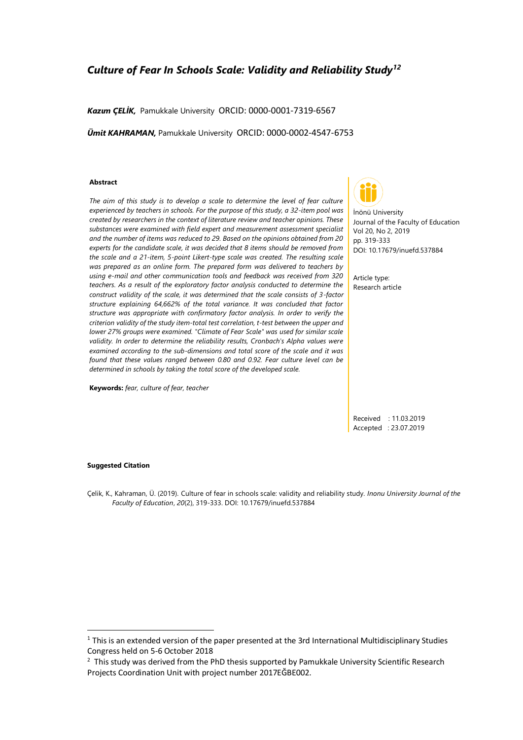# *Culture of Fear In Schools Scale: Validity and Reliability Study<sup>12</sup>*

*Kazım ÇELİK,* Pamukkale UniversityORCID: 0000-0001-7319-6567

*Ümit KAHRAMAN,* Pamukkale University ORCID: 0000-0002-4547-6753

#### **Abstract**

*The aim of this study is to develop a scale to determine the level of fear culture experienced by teachers in schools. For the purpose of this study, a 32-item pool was created by researchers in the context of literature review and teacher opinions. These substances were examined with field expert and measurement assessment specialist and the number of items was reduced to 29. Based on the opinions obtained from 20 experts for the candidate scale, it was decided that 8 items should be removed from the scale and a 21-item, 5-point Likert-type scale was created. The resulting scale was prepared as an online form. The prepared form was delivered to teachers by using e-mail and other communication tools and feedback was received from 320 teachers. As a result of the exploratory factor analysis conducted to determine the construct validity of the scale, it was determined that the scale consists of 3-factor structure explaining 64,662% of the total variance. It was concluded that factor structure was appropriate with confirmatory factor analysis. In order to verify the criterion validity of the study item-total test correlation, t-test between the upper and lower 27% groups were examined. "Climate of Fear Scale" was used for similar scale validity. In order to determine the reliability results, Cronbach's Alpha values were examined according to the sub-dimensions and total score of the scale and it was found that these values ranged between 0.80 and 0.92. Fear culture level can be determined in schools by taking the total score of the developed scale.*

**Keywords:** *fear, culture of fear, teacher*



İnönü University Journal of the Faculty of Education Vol 20, No 2, 2019 pp. 319-333 DOI: 10.17679/inuefd.537884

Article type: Research article

Received : 11.03.2019 Accepted : 23.07.2019

#### **Suggested Citation**

Çelik, K., Kahraman, Ü. (2019). Culture of fear in schools scale: validity and reliability study. *Inonu University Journal of the Faculty of Education*, *20*(2), 319-333. DOI: 10.17679/inuefd.537884

 $1$  This is an extended version of the paper presented at the 3rd International Multidisciplinary Studies Congress held on 5-6 October 2018

 $2$  This study was derived from the PhD thesis supported by Pamukkale University Scientific Research Projects Coordination Unit with project number 2017EĞBE002.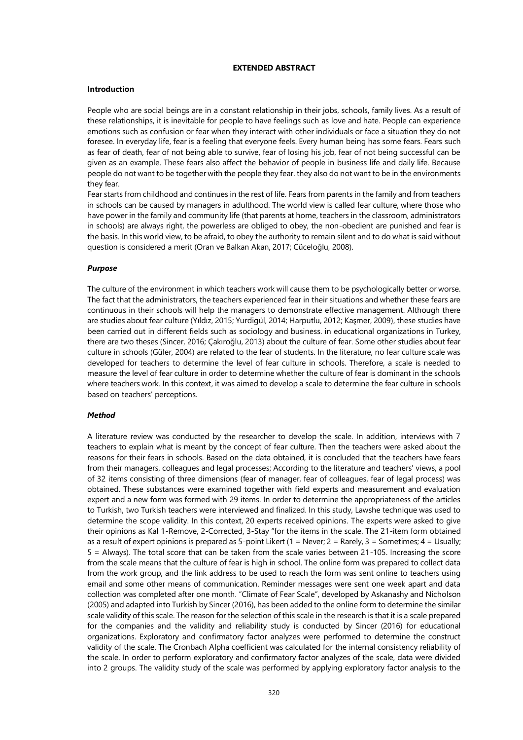# **EXTENDED ABSTRACT**

#### **Introduction**

People who are social beings are in a constant relationship in their jobs, schools, family lives. As a result of these relationships, it is inevitable for people to have feelings such as love and hate. People can experience emotions such as confusion or fear when they interact with other individuals or face a situation they do not foresee. In everyday life, fear is a feeling that everyone feels. Every human being has some fears. Fears such as fear of death, fear of not being able to survive, fear of losing his job, fear of not being successful can be given as an example. These fears also affect the behavior of people in business life and daily life. Because people do not want to be together with the people they fear. they also do not want to be in the environments they fear.

Fear starts from childhood and continues in the rest of life. Fears from parents in the family and from teachers in schools can be caused by managers in adulthood. The world view is called fear culture, where those who have power in the family and community life (that parents at home, teachers in the classroom, administrators in schools) are always right, the powerless are obliged to obey, the non-obedient are punished and fear is the basis. In this world view, to be afraid, to obey the authority to remain silent and to do what is said without question is considered a merit (Oran ve Balkan Akan, 2017; Cüceloğlu, 2008).

#### *Purpose*

The culture of the environment in which teachers work will cause them to be psychologically better or worse. The fact that the administrators, the teachers experienced fear in their situations and whether these fears are continuous in their schools will help the managers to demonstrate effective management. Although there are studies about fear culture (Yıldız, 2015; Yurdigül, 2014; Harputlu, 2012; Kaşmer, 2009), these studies have been carried out in different fields such as sociology and business. in educational organizations in Turkey, there are two theses (Sincer, 2016; Çakıroğlu, 2013) about the culture of fear. Some other studies about fear culture in schools (Güler, 2004) are related to the fear of students. In the literature, no fear culture scale was developed for teachers to determine the level of fear culture in schools. Therefore, a scale is needed to measure the level of fear culture in order to determine whether the culture of fear is dominant in the schools where teachers work. In this context, it was aimed to develop a scale to determine the fear culture in schools based on teachers' perceptions.

#### *Method*

A literature review was conducted by the researcher to develop the scale. In addition, interviews with 7 teachers to explain what is meant by the concept of fear culture. Then the teachers were asked about the reasons for their fears in schools. Based on the data obtained, it is concluded that the teachers have fears from their managers, colleagues and legal processes; According to the literature and teachers' views, a pool of 32 items consisting of three dimensions (fear of manager, fear of colleagues, fear of legal process) was obtained. These substances were examined together with field experts and measurement and evaluation expert and a new form was formed with 29 items. In order to determine the appropriateness of the articles to Turkish, two Turkish teachers were interviewed and finalized. In this study, Lawshe technique was used to determine the scope validity. In this context, 20 experts received opinions. The experts were asked to give their opinions as Kal 1-Remove, 2-Corrected, 3-Stay "for the items in the scale. The 21-item form obtained as a result of expert opinions is prepared as 5-point Likert (1 = Never; 2 = Rarely, 3 = Sometimes; 4 = Usually; 5 = Always). The total score that can be taken from the scale varies between 21-105. Increasing the score from the scale means that the culture of fear is high in school. The online form was prepared to collect data from the work group, and the link address to be used to reach the form was sent online to teachers using email and some other means of communication. Reminder messages were sent one week apart and data collection was completed after one month. "Climate of Fear Scale", developed by Askanashy and Nicholson (2005) and adapted into Turkish by Sincer (2016), has been added to the online form to determine the similar scale validity of this scale. The reason for the selection of this scale in the research is that it is a scale prepared for the companies and the validity and reliability study is conducted by Sincer (2016) for educational organizations. Exploratory and confirmatory factor analyzes were performed to determine the construct validity of the scale. The Cronbach Alpha coefficient was calculated for the internal consistency reliability of the scale. In order to perform exploratory and confirmatory factor analyzes of the scale, data were divided into 2 groups. The validity study of the scale was performed by applying exploratory factor analysis to the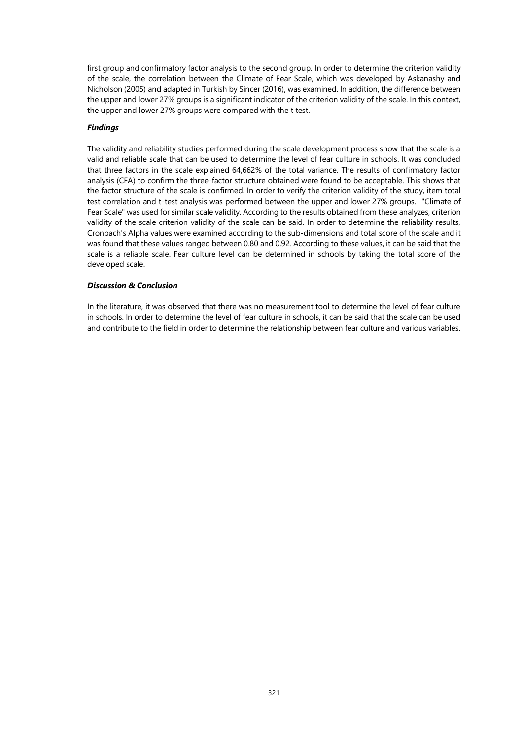first group and confirmatory factor analysis to the second group. In order to determine the criterion validity of the scale, the correlation between the Climate of Fear Scale, which was developed by Askanashy and Nicholson (2005) and adapted in Turkish by Sincer (2016), was examined. In addition, the difference between the upper and lower 27% groups is a significant indicator of the criterion validity of the scale. In this context, the upper and lower 27% groups were compared with the t test.

# *Findings*

The validity and reliability studies performed during the scale development process show that the scale is a valid and reliable scale that can be used to determine the level of fear culture in schools. It was concluded that three factors in the scale explained 64,662% of the total variance. The results of confirmatory factor analysis (CFA) to confirm the three-factor structure obtained were found to be acceptable. This shows that the factor structure of the scale is confirmed. In order to verify the criterion validity of the study, item total test correlation and t-test analysis was performed between the upper and lower 27% groups. "Climate of Fear Scale" was used for similar scale validity. According to the results obtained from these analyzes, criterion validity of the scale criterion validity of the scale can be said. In order to determine the reliability results, Cronbach's Alpha values were examined according to the sub-dimensions and total score of the scale and it was found that these values ranged between 0.80 and 0.92. According to these values, it can be said that the scale is a reliable scale. Fear culture level can be determined in schools by taking the total score of the developed scale.

# *Discussion & Conclusion*

In the literature, it was observed that there was no measurement tool to determine the level of fear culture in schools. In order to determine the level of fear culture in schools, it can be said that the scale can be used and contribute to the field in order to determine the relationship between fear culture and various variables.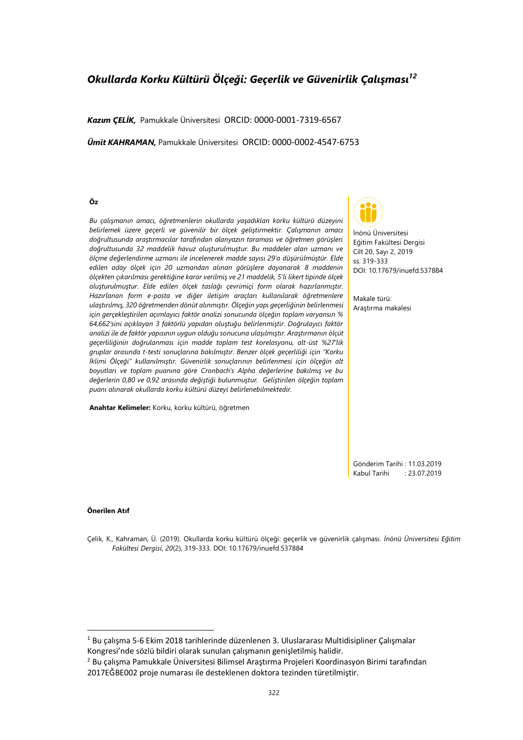# *Okullarda Korku Kültürü Ölçeği: Geçerlik ve Güvenirlik Çalışması<sup>12</sup>*

*Kazım ÇELİK,* Pamukkale ÜniversitesiORCID: 0000-0001-7319-6567

*Ümit KAHRAMAN,* Pamukkale Üniversitesi ORCID: 0000-0002-4547-6753

#### **Öz**

*Bu çalışmanın amacı, öğretmenlerin okullarda yaşadıkları korku kültürü düzeyini belirlemek üzere geçerli ve güvenilir bir ölçek geliştirmektir. Çalışmanın amacı doğrultusunda araştırmacılar tarafından alanyazın taraması ve öğretmen görüşleri doğrultusunda 32 maddelik havuz oluşturulmuştur. Bu maddeler alan uzmanı ve ölçme değerlendirme uzmanı ile incelenerek madde sayısı 29'a düşürülmüştür. Elde edilen aday ölçek için 20 uzmandan alınan görüşlere dayanarak 8 maddenin ölçekten çıkarılması gerektiğine karar verilmiş ve 21 maddelik, 5'li likert tipinde ölçek oluşturulmuştur. Elde edilen ölçek taslağı çevrimiçi form olarak hazırlanmıştır. Hazırlanan form e-posta ve diğer iletişim araçları kullanılarak öğretmenlere ulaştırılmış, 320 öğretmenden dönüt alınmıştır. Ölçeğin yapı geçerliğinin belirlenmesi için gerçekleştirilen açımlayıcı faktör analizi sonucunda ölçeğin toplam varyansın % 64,662'sini açıklayan 3 faktörlü yapıdan oluştuğu belirlenmiştir. Doğrulayıcı faktör analizi ile de faktör yapısının uygun olduğu sonucuna ulaşılmıştır. Araştırmanın ölçüt geçerliliğinin doğrulanması için madde toplam test korelasyonu, alt-üst %27'lik gruplar arasında t-testi sonuçlarına bakılmıştır. Benzer ölçek geçerliliği için "Korku İklimi Ölçeği" kullanılmıştır. Güvenirlik sonuçlarının belirlenmesi için ölçeğin alt boyutları ve toplam puanına göre Cronbach's Alpha değerlerine bakılmış ve bu değerlerin 0,80 ve 0,92 arasında değiştiği bulunmuştur. Geliştirilen ölçeğin toplam puanı alınarak okullarda korku kültürü düzeyi belirlenebilmektedir.*

**Anahtar Kelimeler:** Korku, korku kültürü, öğretmen



İnönü Üniversitesi Eğitim Fakültesi Dergisi Cilt 20, Sayı 2, 2019 ss. 319-333 DOI: 10.17679/inuefd.537884

Makale türü: Araştırma makalesi

Gönderim Tarihi : 11.03.2019 Kabul Tarihi : 23.07.2019

#### **Önerilen Atıf**

Çelik, K., Kahraman, Ü. (2019). Okullarda korku kültürü ölçeği: geçerlik ve güvenirlik çalışması. *İnönü Üniversitesi Eğitim Fakültesi Dergisi*, *20*(2), 319-333. DOI: 10.17679/inuefd.537884

 $1$  Bu calısma 5-6 Ekim 2018 tarihlerinde düzenlenen 3. Uluslararası Multidisipliner Calısmalar Kongresi'nde sözlü bildiri olarak sunulan çalışmanın genişletilmiş halidir.

<sup>2</sup> Bu çalışma Pamukkale Üniversitesi Bilimsel Araştırma Projeleri Koordinasyon Birimi tarafından 2017EĞBE002 proje numarası ile desteklenen doktora tezinden türetilmiştir.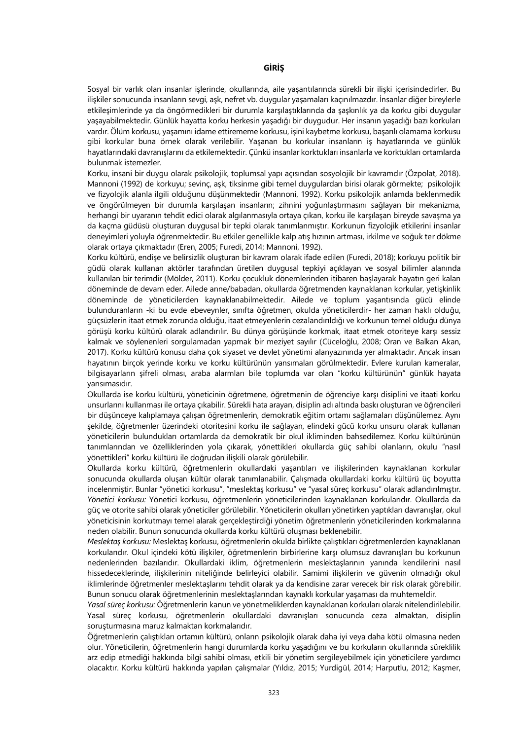# **GİRİŞ**

Sosyal bir varlık olan insanlar işlerinde, okullarında, aile yaşantılarında sürekli bir ilişki içerisindedirler. Bu ilişkiler sonucunda insanların sevgi, aşk, nefret vb. duygular yaşamaları kaçınılmazdır. İnsanlar diğer bireylerle etkileşimlerinde ya da öngörmedikleri bir durumla karşılaştıklarında da şaşkınlık ya da korku gibi duygular yaşayabilmektedir. Günlük hayatta korku herkesin yaşadığı bir duygudur. Her insanın yaşadığı bazı korkuları vardır. Ölüm korkusu, yaşamını idame ettirememe korkusu, işini kaybetme korkusu, başarılı olamama korkusu gibi korkular buna örnek olarak verilebilir. Yaşanan bu korkular insanların iş hayatlarında ve günlük hayatlarındaki davranışlarını da etkilemektedir. Çünkü insanlar korktukları insanlarla ve korktukları ortamlarda bulunmak istemezler.

Korku, insani bir duygu olarak psikolojik, toplumsal yapı açısından sosyolojik bir kavramdır (Özpolat, 2018). Mannoni (1992) de korkuyu; sevinç, aşk, tiksinme gibi temel duygulardan birisi olarak görmekte; psikolojik ve fizyolojik alanla ilgili olduğunu düşünmektedir (Mannoni, 1992). Korku psikolojik anlamda beklenmedik ve öngörülmeyen bir durumla karşılaşan insanların; zihnini yoğunlaştırmasını sağlayan bir mekanizma, herhangi bir uyaranın tehdit edici olarak algılanmasıyla ortaya çıkan, korku ile karşılaşan bireyde savaşma ya da kaçma güdüsü oluşturan duygusal bir tepki olarak tanımlanmıştır. Korkunun fizyolojik etkilerini insanlar deneyimleri yoluyla öğrenmektedir. Bu etkiler genellikle kalp atış hızının artması, irkilme ve soğuk ter dökme olarak ortaya çıkmaktadır (Eren, 2005; Furedi, 2014; Mannoni, 1992).

Korku kültürü, endişe ve belirsizlik oluşturan bir kavram olarak ifade edilen (Furedi, 2018); korkuyu politik bir güdü olarak kullanan aktörler tarafından üretilen duygusal tepkiyi açıklayan ve sosyal bilimler alanında kullanılan bir terimdir (Mölder, 2011). Korku çocukluk dönemlerinden itibaren başlayarak hayatın geri kalan döneminde de devam eder. Ailede anne/babadan, okullarda öğretmenden kaynaklanan korkular, yetişkinlik döneminde de yöneticilerden kaynaklanabilmektedir. Ailede ve toplum yaşantısında gücü elinde bulunduranların -ki bu evde ebeveynler, sınıfta öğretmen, okulda yöneticilerdir- her zaman haklı olduğu, güçsüzlerin itaat etmek zorunda olduğu, itaat etmeyenlerin cezalandırıldığı ve korkunun temel olduğu dünya görüşü korku kültürü olarak adlandırılır. Bu dünya görüşünde korkmak, itaat etmek otoriteye karşı sessiz kalmak ve söylenenleri sorgulamadan yapmak bir meziyet sayılır (Cüceloğlu, 2008; Oran ve Balkan Akan, 2017). Korku kültürü konusu daha çok siyaset ve devlet yönetimi alanyazınında yer almaktadır. Ancak insan hayatının birçok yerinde korku ve korku kültürünün yansımaları görülmektedir. Evlere kurulan kameralar, bilgisayarların şifreli olması, araba alarmları bile toplumda var olan "korku kültürünün" günlük hayata yansımasıdır.

Okullarda ise korku kültürü, yöneticinin öğretmene, öğretmenin de öğrenciye karşı disiplini ve itaati korku unsurlarını kullanması ile ortaya çıkabilir. Sürekli hata arayan, disiplin adı altında baskı oluşturan ve öğrencileri bir düşünceye kalıplamaya çalışan öğretmenlerin, demokratik eğitim ortamı sağlamaları düşünülemez. Aynı şekilde, öğretmenler üzerindeki otoritesini korku ile sağlayan, elindeki gücü korku unsuru olarak kullanan yöneticilerin bulundukları ortamlarda da demokratik bir okul ikliminden bahsedilemez. Korku kültürünün tanımlarından ve özelliklerinden yola çıkarak, yönettikleri okullarda güç sahibi olanların, okulu "nasıl yönettikleri" korku kültürü ile doğrudan ilişkili olarak görülebilir.

Okullarda korku kültürü, öğretmenlerin okullardaki yaşantıları ve ilişkilerinden kaynaklanan korkular sonucunda okullarda oluşan kültür olarak tanımlanabilir. Çalışmada okullardaki korku kültürü üç boyutta incelenmiştir. Bunlar "yönetici korkusu", "meslektaş korkusu" ve "yasal süreç korkusu" olarak adlandırılmıştır. *Yönetici korkusu:* Yönetici korkusu, öğretmenlerin yöneticilerinden kaynaklanan korkularıdır. Okullarda da güç ve otorite sahibi olarak yöneticiler görülebilir. Yöneticilerin okulları yönetirken yaptıkları davranışlar, okul yöneticisinin korkutmayı temel alarak gerçekleştirdiği yönetim öğretmenlerin yöneticilerinden korkmalarına neden olabilir. Bunun sonucunda okullarda korku kültürü oluşması beklenebilir.

*Meslektaş korkusu:* Meslektaş korkusu, öğretmenlerin okulda birlikte çalıştıkları öğretmenlerden kaynaklanan korkularıdır. Okul içindeki kötü ilişkiler, öğretmenlerin birbirlerine karşı olumsuz davranışları bu korkunun nedenlerinden bazılarıdır. Okullardaki iklim, öğretmenlerin meslektaşlarının yanında kendilerini nasıl hissedeceklerinde, ilişkilerinin niteliğinde belirleyici olabilir. Samimi ilişkilerin ve güvenin olmadığı okul iklimlerinde öğretmenler meslektaşlarını tehdit olarak ya da kendisine zarar verecek bir risk olarak görebilir. Bunun sonucu olarak öğretmenlerinin meslektaşlarından kaynaklı korkular yaşaması da muhtemeldir.

*Yasal süreç korkusu:* Öğretmenlerin kanun ve yönetmeliklerden kaynaklanan korkuları olarak nitelendirilebilir. Yasal süreç korkusu, öğretmenlerin okullardaki davranışları sonucunda ceza almaktan, disiplin soruşturmasına maruz kalmaktan korkmalarıdır.

Öğretmenlerin çalıştıkları ortamın kültürü, onların psikolojik olarak daha iyi veya daha kötü olmasına neden olur. Yöneticilerin, öğretmenlerin hangi durumlarda korku yaşadığını ve bu korkuların okullarında süreklilik arz edip etmediği hakkında bilgi sahibi olması, etkili bir yönetim sergileyebilmek için yöneticilere yardımcı olacaktır. Korku kültürü hakkında yapılan çalışmalar (Yıldız, 2015; Yurdigül, 2014; Harputlu, 2012; Kaşmer,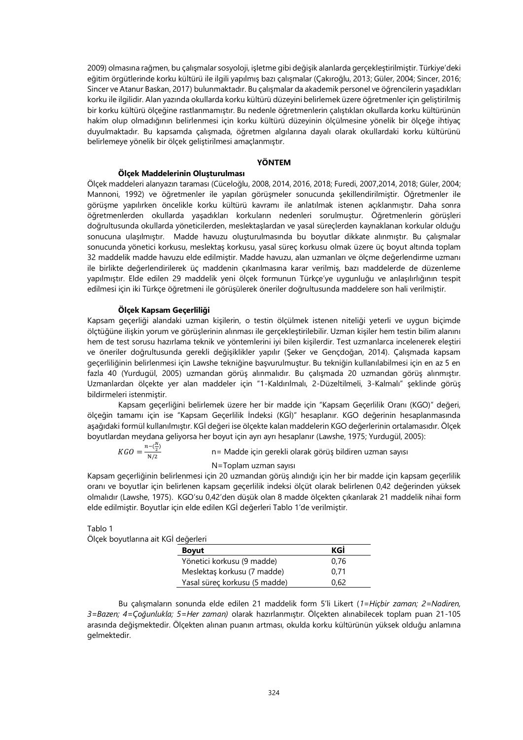2009) olmasına rağmen, bu çalışmalar sosyoloji, işletme gibi değişik alanlarda gerçekleştirilmiştir. Türkiye'deki eğitim örgütlerinde korku kültürü ile ilgili yapılmış bazı çalışmalar (Çakıroğlu, 2013; Güler, 2004; Sincer, 2016; Sincer ve Atanur Baskan, 2017) bulunmaktadır. Bu çalışmalar da akademik personel ve öğrencilerin yaşadıkları korku ile ilgilidir. Alan yazında okullarda korku kültürü düzeyini belirlemek üzere öğretmenler için geliştirilmiş bir korku kültürü ölçeğine rastlanmamıştır. Bu nedenle öğretmenlerin çalıştıkları okullarda korku kültürünün hakim olup olmadığının belirlenmesi için korku kültürü düzeyinin ölçülmesine yönelik bir ölçeğe ihtiyaç duyulmaktadır. Bu kapsamda çalışmada, öğretmen algılarına dayalı olarak okullardaki korku kültürünü belirlemeye yönelik bir ölçek geliştirilmesi amaçlanmıştır.

#### **YÖNTEM**

# **Ölçek Maddelerinin Oluşturulması**

Ölçek maddeleri alanyazın taraması (Cüceloğlu, 2008, 2014, 2016, 2018; Furedi, 2007,2014, 2018; Güler, 2004; Mannoni, 1992) ve öğretmenler ile yapılan görüşmeler sonucunda şekillendirilmiştir. Öğretmenler ile görüşme yapılırken öncelikle korku kültürü kavramı ile anlatılmak istenen açıklanmıştır. Daha sonra öğretmenlerden okullarda yaşadıkları korkuların nedenleri sorulmuştur. Öğretmenlerin görüşleri doğrultusunda okullarda yöneticilerden, meslektaşlardan ve yasal süreçlerden kaynaklanan korkular olduğu sonucuna ulaşılmıştır. Madde havuzu oluşturulmasında bu boyutlar dikkate alınmıştır. Bu çalışmalar sonucunda yönetici korkusu, meslektaş korkusu, yasal süreç korkusu olmak üzere üç boyut altında toplam 32 maddelik madde havuzu elde edilmiştir. Madde havuzu, alan uzmanları ve ölçme değerlendirme uzmanı ile birlikte değerlendirilerek üç maddenin çıkarılmasına karar verilmiş, bazı maddelerde de düzenleme yapılmıştır. Elde edilen 29 maddelik yeni ölçek formunun Türkçe'ye uygunluğu ve anlaşılırlığının tespit edilmesi için iki Türkçe öğretmeni ile görüşülerek öneriler doğrultusunda maddelere son hali verilmiştir.

#### **Ölçek Kapsam Geçerliliği**

Kapsam geçerliği alandaki uzman kişilerin, o testin ölçülmek istenen niteliği yeterli ve uygun biçimde ölçtüğüne ilişkin yorum ve görüşlerinin alınması ile gerçekleştirilebilir. Uzman kişiler hem testin bilim alanını hem de test sorusu hazırlama teknik ve yöntemlerini iyi bilen kişilerdir. Test uzmanlarca incelenerek eleştiri ve öneriler doğrultusunda gerekli değişiklikler yapılır (Şeker ve Gençdoğan, 2014). Çalışmada kapsam geçerliliğinin belirlenmesi için Lawshe tekniğine başvurulmuştur. Bu tekniğin kullanılabilmesi için en az 5 en fazla 40 (Yurdugül, 2005) uzmandan görüş alınmalıdır. Bu çalışmada 20 uzmandan görüş alınmıştır. Uzmanlardan ölçekte yer alan maddeler için "1-Kaldırılmalı, 2-Düzeltilmeli, 3-Kalmalı" şeklinde görüş bildirmeleri istenmiştir.

Kapsam geçerliğini belirlemek üzere her bir madde için "Kapsam Geçerlilik Oranı (KGO)" değeri, ölçeğin tamamı için ise "Kapsam Geçerlilik İndeksi (KGİ)" hesaplanır. KGO değerinin hesaplanmasında aşağıdaki formül kullanılmıştır. KGİ değeri ise ölçekte kalan maddelerin KGO değerlerinin ortalamasıdır. Ölçek boyutlardan meydana geliyorsa her boyut için ayrı ayrı hesaplanır (Lawshe, 1975; Yurdugül, 2005):

 $KGO = \frac{n - (\frac{N}{2})}{N/2}$ N/2 n= Madde için gerekli olarak görüş bildiren uzman sayısı

N=Toplam uzman sayısı

Kapsam geçerliğinin belirlenmesi için 20 uzmandan görüş alındığı için her bir madde için kapsam geçerlilik oranı ve boyutlar için belirlenen kapsam geçerlilik indeksi ölçüt olarak belirlenen 0,42 değerinden yüksek olmalıdır (Lawshe, 1975). KGO'su 0,42'den düşük olan 8 madde ölçekten çıkarılarak 21 maddelik nihai form elde edilmiştir. Boyutlar için elde edilen KGİ değerleri Tablo 1'de verilmiştir.

Tablo 1

| Ölçek boyutlarına ait KGİ değerleri |                               |      |
|-------------------------------------|-------------------------------|------|
|                                     | <b>Boyut</b>                  | KGİ  |
|                                     | Yönetici korkusu (9 madde)    | 0.76 |
|                                     | Meslektaş korkusu (7 madde)   | 0.71 |
|                                     | Yasal süreç korkusu (5 madde) | 0.62 |

Bu çalışmaların sonunda elde edilen 21 maddelik form 5'li Likert (*1=Hiçbir zaman; 2=Nadiren, 3=Bazen; 4=Çoğunlukla; 5=Her zaman)* olarak hazırlanmıştır. Ölçekten alınabilecek toplam puan 21-105 arasında değişmektedir. Ölçekten alınan puanın artması, okulda korku kültürünün yüksek olduğu anlamına gelmektedir.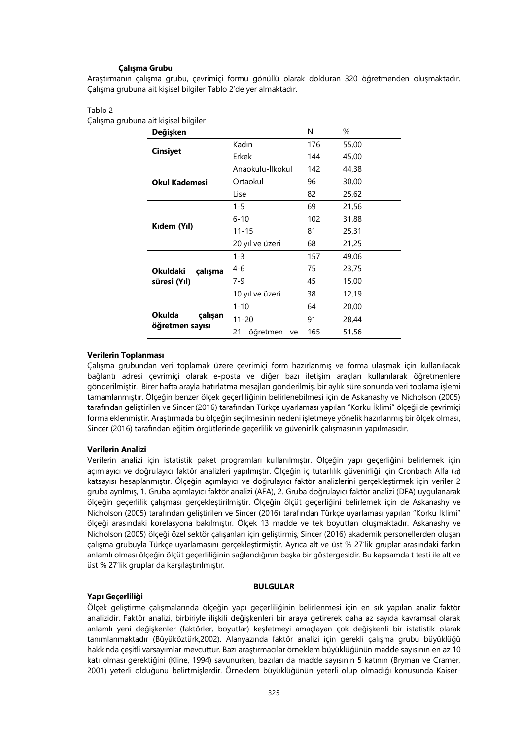# **Çalışma Grubu**

Araştırmanın çalışma grubu, çevrimiçi formu gönüllü olarak dolduran 320 öğretmenden oluşmaktadır. Çalışma grubuna ait kişisel bilgiler Tablo 2'de yer almaktadır.

#### Tablo 2

Çalışma grubuna ait kişisel bilgiler

| Değişken                   |                      | N   | %     |
|----------------------------|----------------------|-----|-------|
|                            | Kadın                | 176 | 55,00 |
| <b>Cinsiyet</b>            | Erkek                | 144 | 45,00 |
|                            | Anaokulu-Ilkokul     | 142 | 44,38 |
| <b>Okul Kademesi</b>       | Ortaokul             | 96  | 30,00 |
|                            | Lise                 | 82  | 25,62 |
|                            | $1 - 5$              | 69  | 21,56 |
|                            | $6 - 10$             | 102 | 31,88 |
| Kıdem (Yıl)                | $11 - 15$            | 81  | 25,31 |
|                            | 20 yıl ve üzeri      | 68  | 21,25 |
|                            | $1 - 3$              | 157 | 49,06 |
| <b>Okuldaki</b><br>çalışma | $4-6$                | 75  | 23,75 |
| süresi (Yıl)               | $7-9$                | 45  | 15,00 |
|                            | 10 yıl ve üzeri      | 38  | 12,19 |
|                            | $1 - 10$             | 64  | 20,00 |
| <b>Okulda</b><br>çalışan   | $11 - 20$            | 91  | 28,44 |
| öğretmen sayısı            | 21<br>öğretmen<br>ve | 165 | 51,56 |

# **Verilerin Toplanması**

Çalışma grubundan veri toplamak üzere çevrimiçi form hazırlanmış ve forma ulaşmak için kullanılacak bağlantı adresi çevrimiçi olarak e-posta ve diğer bazı iletişim araçları kullanılarak öğretmenlere gönderilmiştir. Birer hafta arayla hatırlatma mesajları gönderilmiş, bir aylık süre sonunda veri toplama işlemi tamamlanmıştır. Ölçeğin benzer ölçek geçerliliğinin belirlenebilmesi için de Askanashy ve Nicholson (2005) tarafından geliştirilen ve Sincer (2016) tarafından Türkçe uyarlaması yapılan "Korku İklimi" ölçeği de çevrimiçi forma eklenmiştir. Araştırmada bu ölçeğin seçilmesinin nedeni işletmeye yönelik hazırlanmış bir ölçek olması, Sincer (2016) tarafından eğitim örgütlerinde geçerlilik ve güvenirlik çalışmasının yapılmasıdır.

# **Verilerin Analizi**

Verilerin analizi için istatistik paket programları kullanılmıştır. Ölçeğin yapı geçerliğini belirlemek için açımlayıcı ve doğrulayıcı faktör analizleri yapılmıştır. Ölçeğin iç tutarlılık güvenirliği için Cronbach Alfa ( $\alpha$ ) katsayısı hesaplanmıştır. Ölçeğin açımlayıcı ve doğrulayıcı faktör analizlerini gerçekleştirmek için veriler 2 gruba ayrılmış, 1. Gruba açımlayıcı faktör analizi (AFA), 2. Gruba doğrulayıcı faktör analizi (DFA) uygulanarak ölçeğin geçerlilik çalışması gerçekleştirilmiştir. Ölçeğin ölçüt geçerliğini belirlemek için de Askanashy ve Nicholson (2005) tarafından geliştirilen ve Sincer (2016) tarafından Türkçe uyarlaması yapılan "Korku İklimi" ölçeği arasındaki korelasyona bakılmıştır. Ölçek 13 madde ve tek boyuttan oluşmaktadır. Askanashy ve Nicholson (2005) ölçeği özel sektör çalışanları için geliştirmiş; Sincer (2016) akademik personellerden oluşan çalışma grubuyla Türkçe uyarlamasını gerçekleştirmiştir. Ayrıca alt ve üst % 27'lik gruplar arasındaki farkın anlamlı olması ölçeğin ölçüt geçerliliğinin sağlandığının başka bir göstergesidir. Bu kapsamda t testi ile alt ve üst % 27'lik gruplar da karşılaştırılmıştır.

## **BULGULAR**

#### **Yapı Geçerliliği**

Ölçek geliştirme çalışmalarında ölçeğin yapı geçerliliğinin belirlenmesi için en sık yapılan analiz faktör analizidir. Faktör analizi, birbiriyle ilişkili değişkenleri bir araya getirerek daha az sayıda kavramsal olarak anlamlı yeni değişkenler (faktörler, boyutlar) keşfetmeyi amaçlayan çok değişkenli bir istatistik olarak tanımlanmaktadır (Büyüköztürk,2002). Alanyazında faktör analizi için gerekli çalışma grubu büyüklüğü hakkında çeşitli varsayımlar mevcuttur. Bazı araştırmacılar örneklem büyüklüğünün madde sayısının en az 10 katı olması gerektiğini (Kline, 1994) savunurken, bazıları da madde sayısının 5 katının (Bryman ve Cramer, 2001) yeterli olduğunu belirtmişlerdir. Örneklem büyüklüğünün yeterli olup olmadığı konusunda Kaiser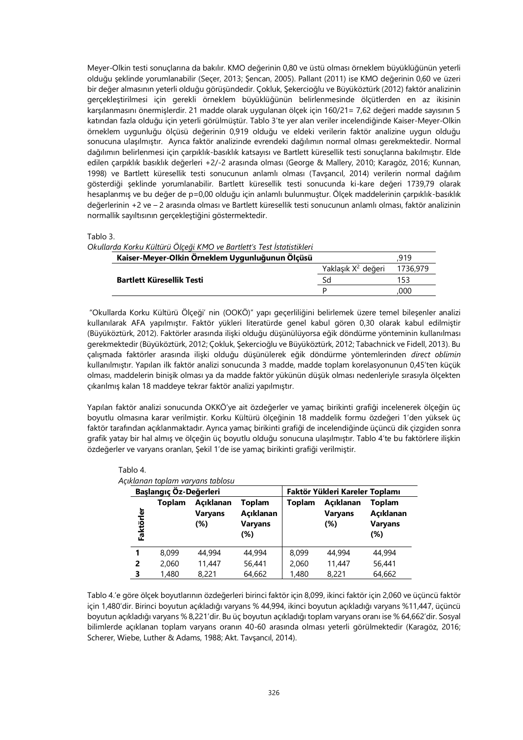Meyer-Olkin testi sonuçlarına da bakılır. KMO değerinin 0,80 ve üstü olması örneklem büyüklüğünün yeterli olduğu şeklinde yorumlanabilir (Seçer, 2013; Şencan, 2005). Pallant (2011) ise KMO değerinin 0,60 ve üzeri bir değer almasının yeterli olduğu görüşündedir. Çokluk, Şekercioğlu ve Büyüköztürk (2012) faktör analizinin gerçekleştirilmesi için gerekli örneklem büyüklüğünün belirlenmesinde ölçütlerden en az ikisinin karşılanmasını önermişlerdir. 21 madde olarak uygulanan ölçek için 160/21= 7,62 değeri madde sayısının 5 katından fazla olduğu için yeterli görülmüştür. Tablo 3'te yer alan veriler incelendiğinde Kaiser-Meyer-Olkin örneklem uygunluğu ölçüsü değerinin 0,919 olduğu ve eldeki verilerin faktör analizine uygun olduğu sonucuna ulaşılmıştır. Ayrıca faktör analizinde evrendeki dağılımın normal olması gerekmektedir. Normal dağılımın belirlenmesi için çarpıklık-basıklık katsayısı ve Bartlett küresellik testi sonuçlarına bakılmıştır. Elde edilen çarpıklık basıklık değerleri +2/-2 arasında olması (George & Mallery, 2010; Karagöz, 2016; Kunnan, 1998) ve Bartlett küresellik testi sonucunun anlamlı olması (Tavşancıl, 2014) verilerin normal dağılım gösterdiği şeklinde yorumlanabilir. Bartlett küresellik testi sonucunda ki-kare değeri 1739,79 olarak hesaplanmış ve bu değer de p=0,00 olduğu için anlamlı bulunmuştur. Ölçek maddelerinin çarpıklık-basıklık değerlerinin +2 ve – 2 arasında olması ve Bartlett küresellik testi sonucunun anlamlı olması, faktör analizinin normallik sayıltısının gerçekleştiğini göstermektedir.

Tablo 3.

| Okullarda Korku Kültürü Ölçeği KMO ve Bartlett's Test İstatistikleri |                                |          |
|----------------------------------------------------------------------|--------------------------------|----------|
| Kaiser-Meyer-Olkin Örneklem Uygunluğunun Ölçüsü                      |                                | 919      |
|                                                                      | Yaklaşık X <sup>2</sup> değeri | 1736.979 |
| <b>Bartlett Küresellik Testi</b>                                     | Sd                             | 153      |
|                                                                      |                                | 000      |

"Okullarda Korku Kültürü Ölçeği' nin (OOKÖ)" yapı geçerliliğini belirlemek üzere temel bileşenler analizi kullanılarak AFA yapılmıştır. Faktör yükleri literatürde genel kabul gören 0,30 olarak kabul edilmiştir (Büyüköztürk, 2012). Faktörler arasında ilişki olduğu düşünülüyorsa eğik döndürme yönteminin kullanılması gerekmektedir (Büyüköztürk, 2012; Çokluk, Şekercioğlu ve Büyüköztürk, 2012; Tabachnick ve Fidell, 2013). Bu çalışmada faktörler arasında ilişki olduğu düşünülerek eğik döndürme yöntemlerinden *direct oblimin* kullanılmıştır. Yapılan ilk faktör analizi sonucunda 3 madde, madde toplam korelasyonunun 0,45'ten küçük olması, maddelerin binişik olması ya da madde faktör yükünün düşük olması nedenleriyle sırasıyla ölçekten çıkarılmış kalan 18 maddeye tekrar faktör analizi yapılmıştır.

Yapılan faktör analizi sonucunda OKKÖ'ye ait özdeğerler ve yamaç birikinti grafiği incelenerek ölçeğin üç boyutlu olmasına karar verilmiştir. Korku Kültürü ölçeğinin 18 maddelik formu özdeğeri 1'den yüksek üç faktör tarafından açıklanmaktadır. Ayrıca yamaç birikinti grafiği de incelendiğinde üçüncü dik çizgiden sonra grafik yatay bir hal almış ve ölçeğin üç boyutlu olduğu sonucuna ulaşılmıştır. Tablo 4'te bu faktörlere ilişkin özdeğerler ve varyans oranları, Şekil 1'de ise yamaç birikinti grafiği verilmiştir.

|           | Başlangıç Öz-Değerleri | икіапап торіат varyans tabiosu     | Faktör Yükleri Kareler Toplamı               |        |                                    |                                              |
|-----------|------------------------|------------------------------------|----------------------------------------------|--------|------------------------------------|----------------------------------------------|
| Faktörler | Toplam                 | Acıklanan<br><b>Varyans</b><br>(%) | Toplam<br>Açıklanan<br><b>Varyans</b><br>(%) | Toplam | Acıklanan<br><b>Varyans</b><br>(%) | Toplam<br>Açıklanan<br><b>Varyans</b><br>(%) |
| 1         | 8.099                  | 44.994                             | 44,994                                       | 8,099  | 44,994                             | 44,994                                       |
| 2         | 2.060                  | 11,447                             | 56,441                                       | 2,060  | 11,447                             | 56,441                                       |
| 3         | 1,480                  | 8,221                              | 64,662                                       | 1,480  | 8,221                              | 64,662                                       |

Tablo 4. *Açıklanan toplam varyans tablosu*

Tablo 4.'e göre ölçek boyutlarının özdeğerleri birinci faktör için 8,099, ikinci faktör için 2,060 ve üçüncü faktör için 1,480'dir. Birinci boyutun açıkladığı varyans % 44,994, ikinci boyutun açıkladığı varyans %11,447, üçüncü boyutun açıkladığı varyans % 8,221'dir. Bu üç boyutun açıkladığı toplam varyans oranı ise % 64,662'dir. Sosyal bilimlerde açıklanan toplam varyans oranın 40-60 arasında olması yeterli görülmektedir (Karagöz, 2016; Scherer, Wiebe, Luther & Adams, 1988; Akt. Tavşancıl, 2014).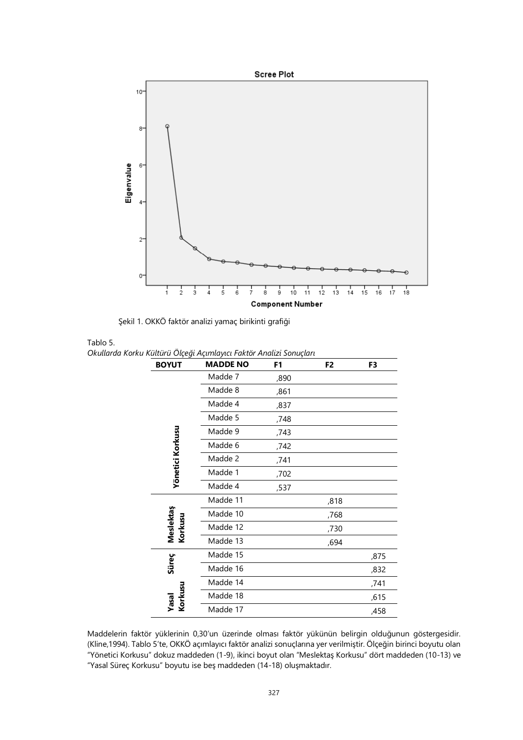

Şekil 1. OKKÖ faktör analizi yamaç birikinti grafiği

| רוסו. |  |
|-------|--|
|       |  |

*Okullarda Korku Kültürü Ölçeği Açımlayıcı Faktör Analizi Sonuçları*

| <b>BOYUT</b>         | <b>MADDE NO</b> | F1   | F <sub>2</sub> | F3   |
|----------------------|-----------------|------|----------------|------|
|                      | Madde 7         | ,890 |                |      |
|                      | Madde 8         | ,861 |                |      |
|                      | Madde 4         | ,837 |                |      |
|                      | Madde 5         | ,748 |                |      |
|                      | Madde 9         | ,743 |                |      |
| Yönetici Korkusu     | Madde 6         | ,742 |                |      |
|                      | Madde 2         | ,741 |                |      |
|                      | Madde 1         | ,702 |                |      |
|                      | Madde 4         | ,537 |                |      |
|                      | Madde 11        |      | ,818           |      |
|                      | Madde 10        |      | ,768           |      |
| Meslektaş<br>Korkusu | Madde 12        |      | ,730           |      |
|                      | Madde 13        |      | ,694           |      |
|                      | Madde 15        |      |                | ,875 |
| Süreç                | Madde 16        |      |                | ,832 |
|                      | Madde 14        |      |                | ,741 |
| Korkusu<br>Yasal     | Madde 18        |      |                | ,615 |
|                      | Madde 17        |      |                | ,458 |

Maddelerin faktör yüklerinin 0,30'un üzerinde olması faktör yükünün belirgin olduğunun göstergesidir. (Kline,1994). Tablo 5'te, OKKÖ açımlayıcı faktör analizi sonuçlarına yer verilmiştir. Ölçeğin birinci boyutu olan "Yönetici Korkusu" dokuz maddeden (1-9), ikinci boyut olan "Meslektaş Korkusu" dört maddeden (10-13) ve "Yasal Süreç Korkusu" boyutu ise beş maddeden (14-18) oluşmaktadır.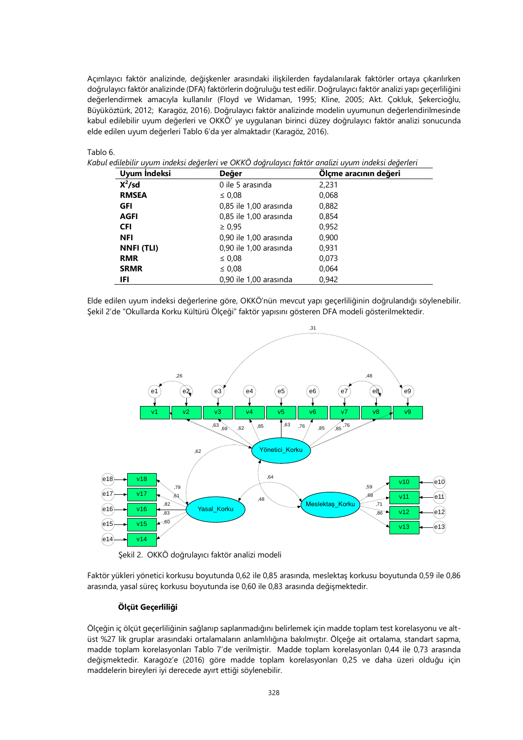Açımlayıcı faktör analizinde, değişkenler arasındaki ilişkilerden faydalanılarak faktörler ortaya çıkarılırken doğrulayıcı faktör analizinde (DFA) faktörlerin doğruluğu test edilir. Doğrulayıcı faktör analizi yapı geçerliliğini değerlendirmek amacıyla kullanılır (Floyd ve Widaman, 1995; Kline, 2005; Akt. Çokluk, Şekercioğlu, Büyüköztürk, 2012; Karagöz, 2016). Doğrulayıcı faktör analizinde modelin uyumunun değerlendirilmesinde kabul edilebilir uyum değerleri ve OKKÖ' ye uygulanan birinci düzey doğrulayıcı faktör analizi sonucunda elde edilen uyum değerleri Tablo 6'da yer almaktadır (Karagöz, 2016).

# Tablo 6.

*Kabul edilebilir uyum indeksi değerleri ve OKKÖ doğrulayıcı faktör analizi uyum indeksi değerleri*

| Uyum İndeksi      | Değer                  | Ölçme aracının değeri |
|-------------------|------------------------|-----------------------|
| $X^2$ /sd         | 0 ile 5 arasında       | 2,231                 |
| <b>RMSEA</b>      | $\leq 0.08$            | 0,068                 |
| GFI               | 0,85 ile 1,00 arasında | 0,882                 |
| <b>AGFI</b>       | 0,85 ile 1,00 arasında | 0.854                 |
| <b>CFI</b>        | $\geq 0.95$            | 0.952                 |
| <b>NFI</b>        | 0,90 ile 1,00 arasında | 0.900                 |
| <b>NNFI (TLI)</b> | 0,90 ile 1,00 arasında | 0.931                 |
| <b>RMR</b>        | $\leq 0.08$            | 0.073                 |
| <b>SRMR</b>       | $\leq 0.08$            | 0.064                 |
| IFI               | 0.90 ile 1.00 arasında | 0.942                 |

Elde edilen uyum indeksi değerlerine göre, OKKÖ'nün mevcut yapı geçerliliğinin doğrulandığı söylenebilir. Şekil 2'de "Okullarda Korku Kültürü Ölçeği" faktör yapısını gösteren DFA modeli gösterilmektedir.



Şekil 2. OKKÖ doğrulayıcı faktör analizi modeli

Faktör yükleri yönetici korkusu boyutunda 0,62 ile 0,85 arasında, meslektaş korkusu boyutunda 0,59 ile 0,86 arasında, yasal süreç korkusu boyutunda ise 0,60 ile 0,83 arasında değişmektedir.

# **Ölçüt Geçerliliği**

Ölçeğin iç ölçüt geçerliliğinin sağlanıp saplanmadığını belirlemek için madde toplam test korelasyonu ve altüst %27 lik gruplar arasındaki ortalamaların anlamlılığına bakılmıştır. Ölçeğe ait ortalama, standart sapma, madde toplam korelasyonları Tablo 7'de verilmiştir. Madde toplam korelasyonları 0,44 ile 0,73 arasında değişmektedir. Karagöz'e (2016) göre madde toplam korelasyonları 0,25 ve daha üzeri olduğu için maddelerin bireyleri iyi derecede ayırt ettiği söylenebilir.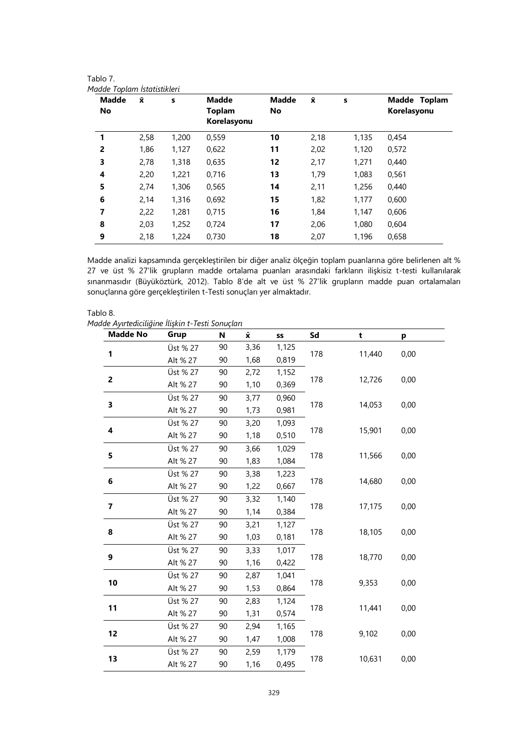| Madde Toplam Istatistikleri |      |       |               |              |                    |       |              |
|-----------------------------|------|-------|---------------|--------------|--------------------|-------|--------------|
| <b>Madde</b>                | Ÿ.   | S     | <b>Madde</b>  | <b>Madde</b> | $\bar{\mathbf{x}}$ | s     | Madde Toplam |
| No                          |      |       | <b>Toplam</b> | No           |                    |       | Korelasyonu  |
|                             |      |       | Korelasyonu   |              |                    |       |              |
| 1                           | 2,58 | 1,200 | 0,559         | 10           | 2,18               | 1,135 | 0,454        |
| $\overline{2}$              | 1,86 | 1,127 | 0,622         | 11           | 2,02               | 1,120 | 0,572        |
| 3                           | 2,78 | 1,318 | 0,635         | 12           | 2,17               | 1,271 | 0,440        |
| 4                           | 2,20 | 1,221 | 0,716         | 13           | 1,79               | 1,083 | 0,561        |
| 5                           | 2,74 | 1,306 | 0,565         | 14           | 2,11               | 1,256 | 0,440        |
| 6                           | 2,14 | 1,316 | 0,692         | 15           | 1,82               | 1,177 | 0,600        |
| 7                           | 2,22 | 1,281 | 0,715         | 16           | 1,84               | 1,147 | 0,606        |
| 8                           | 2,03 | 1,252 | 0,724         | 17           | 2,06               | 1,080 | 0,604        |
| 9                           | 2,18 | 1,224 | 0,730         | 18           | 2,07               | 1,196 | 0.658        |
|                             |      |       |               |              |                    |       |              |

Madde analizi kapsamında gerçekleştirilen bir diğer analiz ölçeğin toplam puanlarına göre belirlenen alt % 27 ve üst % 27'lik grupların madde ortalama puanları arasındaki farkların ilişkisiz t-testi kullanılarak sınanmasıdır (Büyüköztürk, 2012). Tablo 8'de alt ve üst % 27'lik grupların madde puan ortalamaları sonuçlarına göre gerçekleştirilen t-Testi sonuçları yer almaktadır.

| Tablo 8.                                         |  |
|--------------------------------------------------|--|
| Madde Ayırtediciliğine İlişkin t-Testi Sonuçları |  |

Tablo 7.

| <b>Madde No</b> | Grup     | N  | $\bar{\mathbf{x}}$ | SS    | Sd  | t      | р    |
|-----------------|----------|----|--------------------|-------|-----|--------|------|
|                 | Üst % 27 | 90 | 3,36               | 1,125 |     |        |      |
| 1               | Alt % 27 | 90 | 1,68               | 0,819 | 178 | 11,440 | 0,00 |
|                 | Üst % 27 | 90 | 2,72               | 1,152 |     |        |      |
| $\mathbf{2}$    | Alt % 27 | 90 | 1,10               | 0,369 | 178 | 12,726 | 0,00 |
|                 | Üst % 27 | 90 | 3,77               | 0,960 |     |        |      |
| 3               | Alt % 27 | 90 | 1,73               | 0,981 | 178 | 14,053 | 0,00 |
|                 | Üst % 27 | 90 | 3,20               | 1,093 |     |        |      |
| 4               | Alt % 27 | 90 | 1,18               | 0,510 | 178 | 15,901 | 0,00 |
|                 | Üst % 27 | 90 | 3,66               | 1,029 |     |        |      |
| 5               | Alt % 27 | 90 | 1,83               | 1,084 | 178 | 11,566 | 0,00 |
|                 | Üst % 27 | 90 | 3,38               | 1,223 |     |        |      |
| 6               | Alt % 27 | 90 | 1,22               | 0,667 | 178 | 14,680 | 0,00 |
|                 | Üst % 27 | 90 | 3,32               | 1,140 |     |        | 0,00 |
| 7               | Alt % 27 | 90 | 1,14               | 0,384 | 178 | 17,175 |      |
|                 | Üst % 27 | 90 | 3,21               | 1,127 |     |        |      |
| 8               | Alt % 27 | 90 | 1,03               | 0,181 | 178 | 18,105 | 0,00 |
|                 | Üst % 27 | 90 | 3,33               | 1,017 |     |        |      |
| 9               | Alt % 27 | 90 | 1,16               | 0,422 | 178 | 18,770 | 0,00 |
|                 | Üst % 27 | 90 | 2,87               | 1,041 |     |        |      |
| 10              | Alt % 27 | 90 | 1,53               | 0,864 | 178 | 9,353  | 0,00 |
|                 | Üst % 27 | 90 | 2,83               | 1,124 |     |        |      |
| 11              | Alt % 27 | 90 | 1,31               | 0,574 | 178 | 11,441 | 0,00 |
|                 | Üst % 27 | 90 | 2,94               | 1,165 |     |        |      |
| 12              | Alt % 27 | 90 | 1,47               | 1,008 | 178 | 9,102  | 0,00 |
|                 | Üst % 27 | 90 | 2,59               | 1,179 |     |        |      |
| 13              | Alt % 27 | 90 | 1,16               | 0,495 | 178 | 10,631 | 0,00 |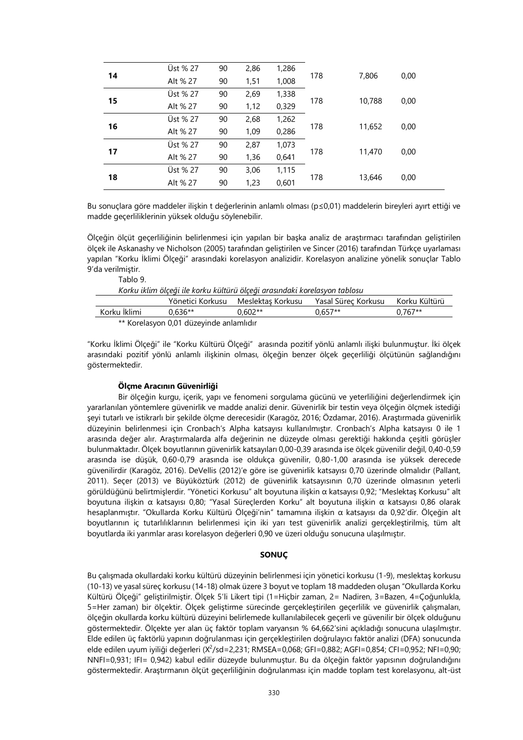|    | Üst % 27 | 90 | 2,86 | 1,286 |     |        | 0,00 |
|----|----------|----|------|-------|-----|--------|------|
| 14 | Alt % 27 | 90 | 1,51 | 1,008 | 178 | 7,806  |      |
|    | Üst % 27 | 90 | 2,69 | 1,338 |     |        |      |
| 15 | Alt % 27 | 90 | 1,12 | 0,329 | 178 | 10,788 | 0,00 |
|    | Üst % 27 | 90 | 2,68 | 1,262 |     |        |      |
| 16 | Alt % 27 | 90 | 1,09 | 0,286 | 178 | 11,652 | 0,00 |
|    | Üst % 27 | 90 | 2,87 | 1,073 |     |        |      |
| 17 | Alt % 27 | 90 | 1,36 | 0,641 | 178 | 11,470 | 0,00 |
| 18 | Üst % 27 | 90 | 3,06 | 1,115 |     |        |      |
|    | Alt % 27 | 90 | 1,23 | 0,601 | 178 | 13,646 | 0,00 |

Bu sonuçlara göre maddeler ilişkin t değerlerinin anlamlı olması (p≤0,01) maddelerin bireyleri ayırt ettiği ve madde geçerliliklerinin yüksek olduğu söylenebilir.

Ölçeğin ölçüt geçerliliğinin belirlenmesi için yapılan bir başka analiz de araştırmacı tarafından geliştirilen ölçek ile Askanashy ve Nicholson (2005) tarafından geliştirilen ve Sincer (2016) tarafından Türkçe uyarlaması yapılan "Korku İklimi Ölçeği" arasındaki korelasyon analizidir. Korelasyon analizine yönelik sonuçlar Tablo 9'da verilmiştir. Tablo 9.

| Korku iklim ölçeği ile korku kültürü ölçeği arasındaki korelasyon tablosu |                  |                   |                     |               |  |  |  |
|---------------------------------------------------------------------------|------------------|-------------------|---------------------|---------------|--|--|--|
|                                                                           | Yönetici Korkusu | Meslektas Korkusu | Yasal Sürec Korkusu | Korku Kültürü |  |  |  |
| Korku İklimi                                                              | $0.636**$        | $0.602**$         | $0.657**$           | $0.767**$     |  |  |  |
| ** Karelasyon 0.01 düzeyinde anlamlıdır                                   |                  |                   |                     |               |  |  |  |

Korelasyon 0,01 düzeyinde anlamlıdır

"Korku İklimi Ölçeği" ile "Korku Kültürü Ölçeği" arasında pozitif yönlü anlamlı ilişki bulunmuştur. İki ölçek arasındaki pozitif yönlü anlamlı ilişkinin olması, ölçeğin benzer ölçek geçerliliği ölçütünün sağlandığını göstermektedir.

#### **Ölçme Aracının Güvenirliği**

Bir ölçeğin kurgu, içerik, yapı ve fenomeni sorgulama gücünü ve yeterliliğini değerlendirmek için yararlanılan yöntemlere güvenirlik ve madde analizi denir. Güvenirlik bir testin veya ölçeğin ölçmek istediği şeyi tutarlı ve istikrarlı bir şekilde ölçme derecesidir (Karagöz, 2016; Özdamar, 2016). Araştırmada güvenirlik düzeyinin belirlenmesi için Cronbach's Alpha katsayısı kullanılmıştır. Cronbach's Alpha katsayısı 0 ile 1 arasında değer alır. Araştırmalarda alfa değerinin ne düzeyde olması gerektiği hakkında çeşitli görüşler bulunmaktadır. Ölçek boyutlarının güvenirlik katsayıları 0,00-0,39 arasında ise ölçek güvenilir değil, 0,40-0,59 arasında ise düşük, 0,60-0,79 arasında ise oldukça güvenilir, 0,80-1,00 arasında ise yüksek derecede güvenilirdir (Karagöz, 2016). DeVellis (2012)'e göre ise güvenirlik katsayısı 0,70 üzerinde olmalıdır (Pallant, 2011). Seçer (2013) ve Büyüköztürk (2012) de güvenirlik katsayısının 0,70 üzerinde olmasının yeterli görüldüğünü belirtmişlerdir. "Yönetici Korkusu" alt boyutuna ilişkin α katsayısı 0,92; "Meslektaş Korkusu" alt boyutuna ilişkin α katsayısı 0,80; "Yasal Süreçlerden Korku" alt boyutuna ilişkin α katsayısı 0,86 olarak hesaplanmıştır. "Okullarda Korku Kültürü Ölçeği'nin" tamamına ilişkin α katsayısı da 0,92'dir. Ölçeğin alt boyutlarının iç tutarlılıklarının belirlenmesi için iki yarı test güvenirlik analizi gerçekleştirilmiş, tüm alt boyutlarda iki yarımlar arası korelasyon değerleri 0,90 ve üzeri olduğu sonucuna ulaşılmıştır.

# **SONUÇ**

Bu çalışmada okullardaki korku kültürü düzeyinin belirlenmesi için yönetici korkusu (1-9), meslektaş korkusu (10-13) ve yasal süreç korkusu (14-18) olmak üzere 3 boyut ve toplam 18 maddeden oluşan "Okullarda Korku Kültürü Ölçeği" geliştirilmiştir. Ölçek 5'li Likert tipi (1=Hiçbir zaman, 2= Nadiren, 3=Bazen, 4=Çoğunlukla, 5=Her zaman) bir ölçektir. Ölçek geliştirme sürecinde gerçekleştirilen geçerlilik ve güvenirlik çalışmaları, ölçeğin okullarda korku kültürü düzeyini belirlemede kullanılabilecek geçerli ve güvenilir bir ölçek olduğunu göstermektedir. Ölçekte yer alan üç faktör toplam varyansın % 64,662'sini açıkladığı sonucuna ulaşılmıştır. Elde edilen üç faktörlü yapının doğrulanması için gerçekleştirilen doğrulayıcı faktör analizi (DFA) sonucunda elde edilen uyum iyiliği değerleri (X<sup>2</sup>/sd=2,231; RMSEA=0,068; GFI=0,882; AGFI=0,854; CFI=0,952; NFI=0,90; NNFI=0,931; IFI= 0,942) kabul edilir düzeyde bulunmuştur. Bu da ölçeğin faktör yapısının doğrulandığını göstermektedir. Araştırmanın ölçüt geçerliliğinin doğrulanması için madde toplam test korelasyonu, alt-üst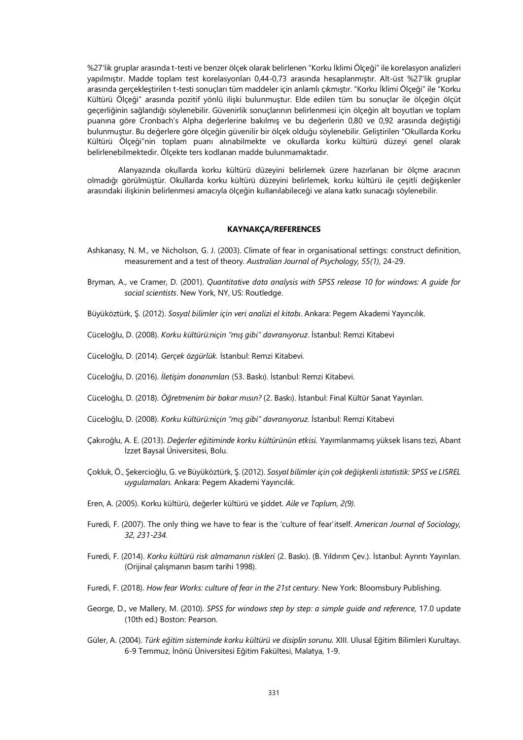%27'lik gruplar arasında t-testi ve benzer ölçek olarak belirlenen "Korku İklimi Ölçeği" ile korelasyon analizleri yapılmıştır. Madde toplam test korelasyonları 0,44-0,73 arasında hesaplanmıştır. Alt-üst %27'lik gruplar arasında gerçekleştirilen t-testi sonuçları tüm maddeler için anlamlı çıkmıştır. "Korku İklimi Ölçeği" ile "Korku Kültürü Ölçeği" arasında pozitif yönlü ilişki bulunmuştur. Elde edilen tüm bu sonuçlar ile ölçeğin ölçüt geçerliğinin sağlandığı söylenebilir. Güvenirlik sonuçlarının belirlenmesi için ölçeğin alt boyutları ve toplam puanına göre Cronbach's Alpha değerlerine bakılmış ve bu değerlerin 0,80 ve 0,92 arasında değiştiği bulunmuştur. Bu değerlere göre ölçeğin güvenilir bir ölçek olduğu söylenebilir. Geliştirilen "Okullarda Korku Kültürü Ölçeği"nin toplam puanı alınabilmekte ve okullarda korku kültürü düzeyi genel olarak belirlenebilmektedir. Ölçekte ters kodlanan madde bulunmamaktadır.

Alanyazında okullarda korku kültürü düzeyini belirlemek üzere hazırlanan bir ölçme aracının olmadığı görülmüştür. Okullarda korku kültürü düzeyini belirlemek, korku kültürü ile çeşitli değişkenler arasındaki ilişkinin belirlenmesi amacıyla ölçeğin kullanılabileceği ve alana katkı sunacağı söylenebilir.

# **KAYNAKÇA/REFERENCES**

- Ashkanasy, N. M., ve Nicholson, G. J. (2003). Climate of fear in organisational settings: construct definition, measurement and a test of theory*. Australian Journal of Psychology, 55(1),* 24-29.
- Bryman, A., ve Cramer, D. (2001). *Quantitative data analysis with SPSS release 10 for windows: A guide for social scientists*. New York, NY, US: Routledge.
- Büyüköztürk, Ş. (2012). *Sosyal bilimler için veri analizi el kitabı*. Ankara: Pegem Akademi Yayıncılık.
- Cüceloğlu, D. (2008). *Korku kültürü:niçin "mış gibi" davranıyoruz*. İstanbul: Remzi Kitabevi
- Cüceloğlu, D. (2014). *Gerçek özgürlük.* İstanbul: Remzi Kitabevi.
- Cüceloğlu, D. (2016). *İletişim donanımları* (53. Baskı). İstanbul: Remzi Kitabevi.
- Cüceloğlu, D. (2018). *Öğretmenim bir bakar mısın?* (2. Baskı). İstanbul: Final Kültür Sanat Yayınları.
- Cüceloğlu, D. (2008). *Korku kültürü:niçin "mış gibi" davranıyoruz.* İstanbul: Remzi Kitabevi
- Çakıroğlu, A. E. (2013). *Değerler eğitiminde korku kültürünün etkisi.* Yayımlanmamış yüksek lisans tezi, Abant İzzet Baysal Üniversitesi, Bolu.
- Çokluk, Ö., Şekercioğlu, G. ve Büyüköztürk, Ş. (2012). *Sosyal bilimler için çok değişkenli istatistik: SPSS ve LISREL uygulamaları.* Ankara: Pegem Akademi Yayıncılık.
- Eren, A. (2005). Korku kültürü, değerler kültürü ve şiddet. *Aile ve Toplum, 2(9).*
- Furedi, F. (2007). The only thing we have to fear is the 'culture of fear'itself. *American Journal of Sociology, 32, 231-234.*
- Furedi, F. (2014). *Korku kültürü risk almamanın riskleri* (2. Baskı). (B. Yıldırım Çev.). İstanbul: Ayrıntı Yayınları. (Orijinal çalışmanın basım tarihi 1998).
- Furedi, F. (2018). *How fear Works: culture of fear in the 21st century*. New York: Bloomsbury Publishing.
- George, D., ve Mallery, M. (2010). *SPSS for windows step by step: a simple guide and reference,* 17.0 update (10th ed.) Boston: Pearson.
- Güler, A. (2004). *Türk eğitim sisteminde korku kültürü ve disiplin sorunu.* XIII. Ulusal Eğitim Bilimleri Kurultayı. 6-9 Temmuz, İnönü Üniversitesi Eğitim Fakültesi, Malatya, 1-9.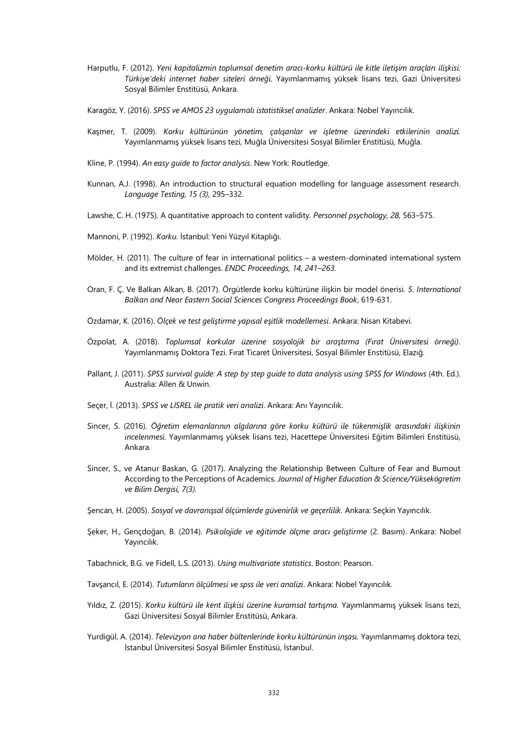- Harputlu, F. (2012). *Yeni kapitalizmin toplumsal denetim aracı-korku kültürü ile kitle iletişim araçları ilişkisi: Türkiye'deki internet haber siteleri örneği.* Yayımlanmamış yüksek lisans tezi, Gazi Üniversitesi Sosyal Bilimler Enstitüsü, Ankara.
- Karagöz, Y. (2016). *SPSS ve AMOS 23 uygulamalı istatistiksel analizler*. Ankara: Nobel Yayıncılık.
- Kaşmer, T. (2009). *Korku kültürünün yönetim, çalışanlar ve işletme üzerindeki etkilerinin analizi.*  Yayımlanmamış yüksek lisans tezi, Muğla Üniversitesi Sosyal Bilimler Enstitüsü, Muğla.
- Kline, P. (1994). *An easy guide to factor analysis*. New York: Routledge.
- Kunnan, A.J. (1998). An introduction to structural equation modelling for language assessment research. *Language Testing, 15 (3),* 295–332.
- Lawshe, C. H. (1975). A quantitative approach to content validity. *Personnel psychology, 28,* 563–575.
- Mannoni, P. (1992). *Korku.* İstanbul: Yeni Yüzyıl Kitaplığı.
- Mölder, H. (2011). The culture of fear in international politics a western-dominated international system and its extremist challenges. *ENDC Proceedings, 14, 241–263.*
- Oran, F. Ç. Ve Balkan Alkan, B. (2017). Örgütlerde korku kültürüne ilişkin bir model önerisi. *5. International Balkan and Near Eastern Social Sciences Congress Proceedings Book*, 619-631.
- Özdamar, K. (2016). *Ölçek ve test geliştirme yapısal eşitlik modellemesi*. Ankara: Nisan Kitabevi.
- Özpolat, A. (2018). *Toplumsal korkular üzerine sosyolojik bir araştırma (Fırat Üniversitesi örneği).*  Yayımlanmamış Doktora Tezi. Fırat Ticaret Üniversitesi, Sosyal Bilimler Enstitüsü, Elazığ.
- Pallant, J. (2011). *SPSS survival quide: A step by step quide to data analysis using SPSS for Windows (4th. Ed.).* Australia: Allen & Unwin.
- Seçer, İ. (2013). *SPSS ve LISREL ile pratik veri analizi*. Ankara: Anı Yayıncılık.
- Sincer, S. (2016). *Öğretim elemanlarının algılarına göre korku kültürü ile tükenmişlik arasındaki ilişkinin incelenmesi.* Yayımlanmamış yüksek lisans tezi, Hacettepe Üniversitesi Eğitim Bilimleri Enstitüsü, Ankara.
- Sincer, S., ve Atanur Baskan, G. (2017). Analyzing the Relationship Between Culture of Fear and Burnout According to the Perceptions of Academics. *Journal of Higher Education & Science/Yüksekögretim ve Bilim Dergisi, 7(3).*
- Şencan, H. (2005). *Sosyal ve davranışsal ölçümlerde güvenirlik ve geçerlilik.* Ankara: Seçkin Yayıncılık.
- Şeker, H., Gençdoğan, B. (2014). *Psikolojide ve eğitimde ölçme aracı geliştirme* (2. Basım). Ankara: Nobel Yayıncılık.
- Tabachnick, B.G. ve Fidell, L.S. (2013). *Using multivariate statistics*. Boston: Pearson.
- Tavşancıl, E. (2014). *Tutumların ölçülmesi ve spss ile veri analizi*. Ankara: Nobel Yayıncılık.
- Yıldız, Z. (2015). *Korku kültürü ile kent ilişkisi üzerine kuramsal tartışma.* Yayımlanmamış yüksek lisans tezi, Gazi Üniversitesi Sosyal Bilimler Enstitüsü, Ankara.
- Yurdigül, A. (2014). *Televizyon ana haber bültenlerinde korku kültürünün inşası.* Yayımlanmamış doktora tezi, İstanbul Üniversitesi Sosyal Bilimler Enstitüsü, İstanbul.